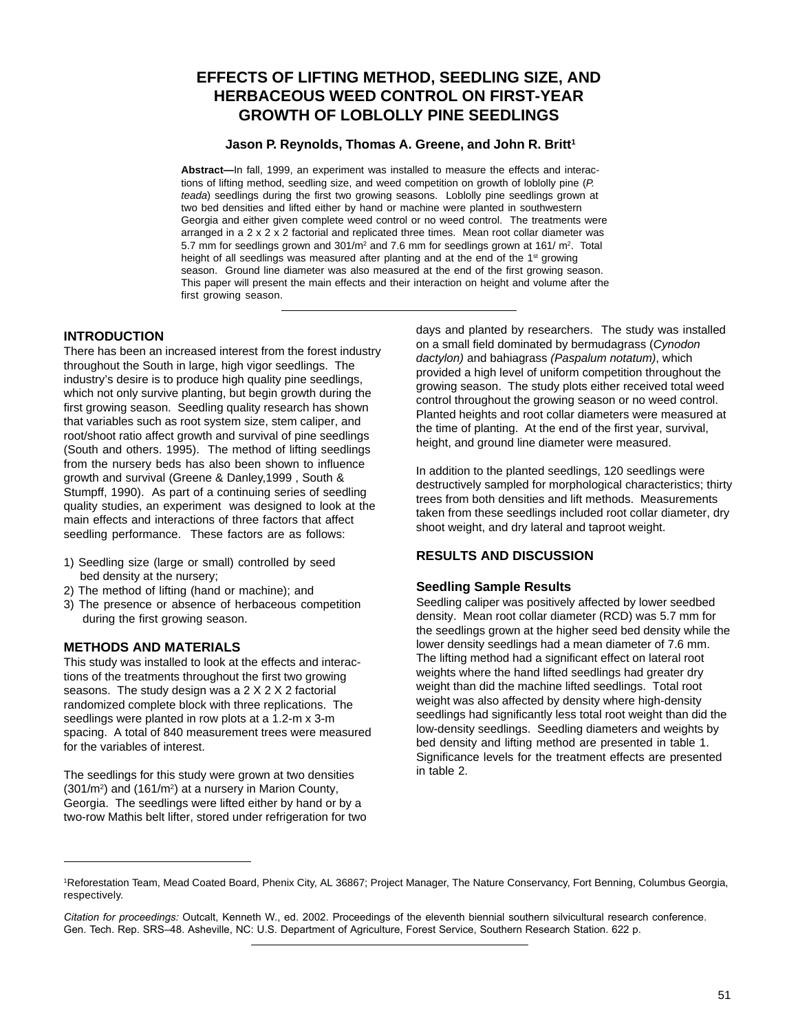# **EFFECTS OF LIFTING METHOD, SEEDLING SIZE, AND HERBACEOUS WEED CONTROL ON FIRST-YEAR GROWTH OF LOBLOLLY PINE SEEDLINGS**

#### **Jason P. Reynolds, Thomas A. Greene, and John R. Britt<sup>1</sup>**

**Abstract—**In fall, 1999, an experiment was installed to measure the effects and interactions of lifting method, seedling size, and weed competition on growth of loblolly pine  $(P)$ . teada) seedlings during the first two growing seasons. Loblolly pine seedlings grown at two bed densities and lifted either by hand or machine were planted in southwestern Georgia and either given complete weed control or no weed control. The treatments were arranged in a 2 x 2 x 2 factorial and replicated three times. Mean root collar diameter was 5.7 mm for seedlings grown and  $301/m^2$  and 7.6 mm for seedlings grown at 161/ $m^2$ . Total height of all seedlings was measured after planting and at the end of the 1<sup>st</sup> growing season. Ground line diameter was also measured at the end of the first growing season. This paper will present the main effects and their interaction on height and volume after the first growing season.

### **INTRODUCTION**

There has been an increased interest from the forest industry throughout the South in large, high vigor seedlings. The industry's desire is to produce high quality pine seedlings, which not only survive planting, but begin growth during the first growing season. Seedling quality research has shown that variables such as root system size, stem caliper, and root/shoot ratio affect growth and survival of pine seedlings (South and others. 1995). The method of lifting seedlings from the nursery beds has also been shown to influence growth and survival (Greene & Danley,1999 , South & Stumpff, 1990). As part of a continuing series of seedling quality studies, an experiment was designed to look at the main effects and interactions of three factors that affect seedling performance. These factors are as follows:

- 1) Seedling size (large or small) controlled by seed bed density at the nursery;
- 2) The method of lifting (hand or machine); and
- 3) The presence or absence of herbaceous competition during the first growing season.

### **METHODS AND MATERIALS**

This study was installed to look at the effects and interactions of the treatments throughout the first two growing seasons. The study design was a 2 X 2 X 2 factorial randomized complete block with three replications. The seedlings were planted in row plots at a 1.2-m x 3-m spacing. A total of 840 measurement trees were measured for the variables of interest.

The seedlings for this study were grown at two densities  $(301/m<sup>2</sup>)$  and  $(161/m<sup>2</sup>)$  at a nursery in Marion County, Georgia. The seedlings were lifted either by hand or by a two-row Mathis belt lifter, stored under refrigeration for two days and planted by researchers. The study was installed on a small field dominated by bermudagrass (Cynodon dactylon) and bahiagrass (Paspalum notatum), which provided a high level of uniform competition throughout the growing season. The study plots either received total weed control throughout the growing season or no weed control. Planted heights and root collar diameters were measured at the time of planting. At the end of the first year, survival, height, and ground line diameter were measured.

In addition to the planted seedlings, 120 seedlings were destructively sampled for morphological characteristics; thirty trees from both densities and lift methods. Measurements taken from these seedlings included root collar diameter, dry shoot weight, and dry lateral and taproot weight.

# **RESULTS AND DISCUSSION**

#### **Seedling Sample Results**

Seedling caliper was positively affected by lower seedbed density. Mean root collar diameter (RCD) was 5.7 mm for the seedlings grown at the higher seed bed density while the lower density seedlings had a mean diameter of 7.6 mm. The lifting method had a significant effect on lateral root weights where the hand lifted seedlings had greater dry weight than did the machine lifted seedlings. Total root weight was also affected by density where high-density seedlings had significantly less total root weight than did the low-density seedlings. Seedling diameters and weights by bed density and lifting method are presented in table 1. Significance levels for the treatment effects are presented in table 2.

<sup>1</sup> Reforestation Team, Mead Coated Board, Phenix City, AL 36867; Project Manager, The Nature Conservancy, Fort Benning, Columbus Georgia, respectively.

*Citation for proceedings:* Outcalt, Kenneth W., ed. 2002. Proceedings of the eleventh biennial southern silvicultural research conference. Gen. Tech. Rep. SRS–48. Asheville, NC: U.S. Department of Agriculture, Forest Service, Southern Research Station. 622 p.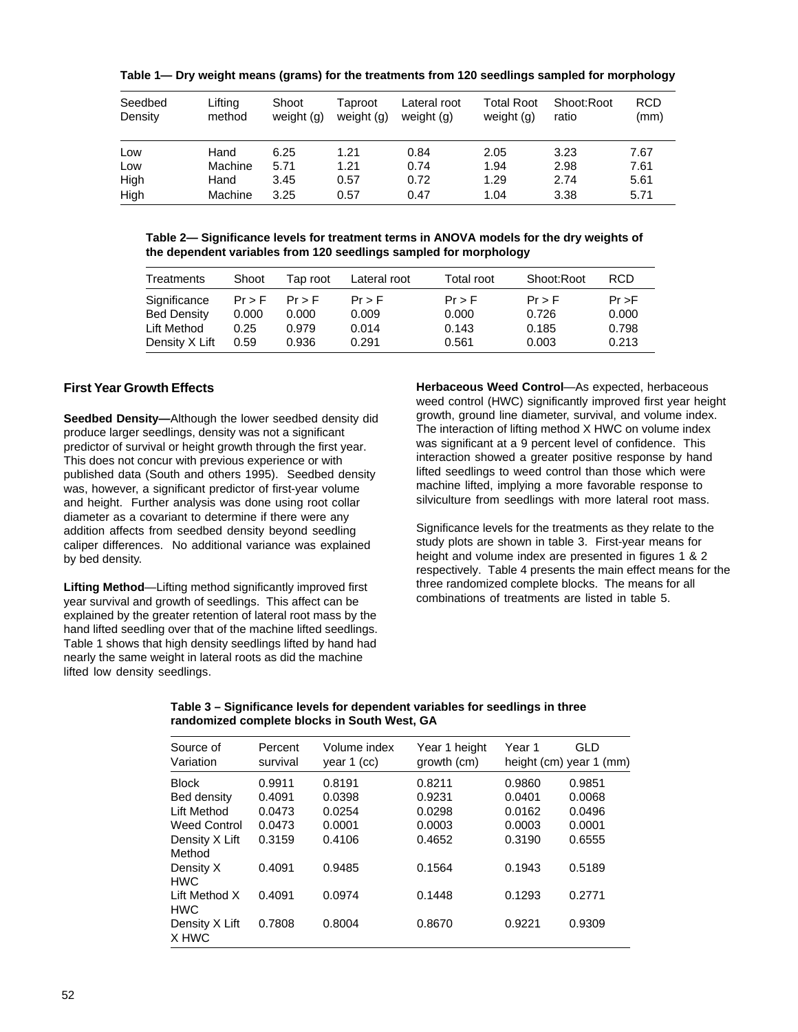**Table 1— Dry weight means (grams) for the treatments from 120 seedlings sampled for morphology**

| Seedbed<br>Density | Lifting<br>method | Shoot<br>weight (g) | Taproot<br>weight (g) | Lateral root<br>weight (g) | <b>Total Root</b><br>weight (g) | Shoot:Root<br>ratio | <b>RCD</b><br>(mm) |
|--------------------|-------------------|---------------------|-----------------------|----------------------------|---------------------------------|---------------------|--------------------|
| Low                | Hand              | 6.25                | 1.21                  | 0.84                       | 2.05                            | 3.23                | 7.67               |
| Low                | Machine           | 5.71                | 1.21                  | 0.74                       | 1.94                            | 2.98                | 7.61               |
| High               | Hand              | 3.45                | 0.57                  | 0.72                       | 1.29                            | 2.74                | 5.61               |
| High               | Machine           | 3.25                | 0.57                  | 0.47                       | 1.04                            | 3.38                | 5.71               |

**Table 2— Significance levels for treatment terms in ANOVA models for the dry weights of the dependent variables from 120 seedlings sampled for morphology**

| Treatments     | Shoot    | Tap root | Lateral root | Total root | Shoot:Root | <b>RCD</b> |
|----------------|----------|----------|--------------|------------|------------|------------|
| Significance   | $Pr$ > F | $Pr$ > F | $Pr$ > F     | $Pr$ > F   | $Pr$ > F   | $Pr$ >F    |
| Bed Density    | 0.000    | 0.000    | 0.009        | 0.000      | 0.726      | 0.000      |
| Lift Method    | 0.25     | 0.979    | 0.014        | 0.143      | 0.185      | 0.798      |
| Density X Lift | 0.59     | 0.936    | 0.291        | 0.561      | 0.003      | 0.213      |

# **First Year Growth Effects**

**Seedbed Density—**Although the lower seedbed density did produce larger seedlings, density was not a significant predictor of survival or height growth through the first year. This does not concur with previous experience or with published data (South and others 1995). Seedbed density was, however, a significant predictor of first-year volume and height. Further analysis was done using root collar diameter as a covariant to determine if there were any addition affects from seedbed density beyond seedling caliper differences. No additional variance was explained by bed density.

**Lifting Method**—Lifting method significantly improved first year survival and growth of seedlings. This affect can be explained by the greater retention of lateral root mass by the hand lifted seedling over that of the machine lifted seedlings. Table 1 shows that high density seedlings lifted by hand had nearly the same weight in lateral roots as did the machine lifted low density seedlings.

**Herbaceous Weed Control**—As expected, herbaceous weed control (HWC) significantly improved first year height growth, ground line diameter, survival, and volume index. The interaction of lifting method X HWC on volume index was significant at a 9 percent level of confidence. This interaction showed a greater positive response by hand lifted seedlings to weed control than those which were machine lifted, implying a more favorable response to silviculture from seedlings with more lateral root mass.

Significance levels for the treatments as they relate to the study plots are shown in table 3. First-year means for height and volume index are presented in figures 1 & 2 respectively. Table 4 presents the main effect means for the three randomized complete blocks. The means for all combinations of treatments are listed in table 5.

| Table 3 – Significance levels for dependent variables for seedlings in three |
|------------------------------------------------------------------------------|
| randomized complete blocks in South West, GA                                 |

| Source of<br>Variation             | Percent<br>survival | Volume index<br>year 1 (cc) | Year 1 height<br>growth (cm) | Year 1 | GLD<br>height (cm) year 1 (mm) |
|------------------------------------|---------------------|-----------------------------|------------------------------|--------|--------------------------------|
| <b>Block</b>                       | 0.9911              | 0.8191                      | 0.8211                       | 0.9860 | 0.9851                         |
| Bed density                        | 0.4091              | 0.0398                      | 0.9231                       | 0.0401 | 0.0068                         |
| Lift Method                        | 0.0473              | 0.0254                      | 0.0298                       | 0.0162 | 0.0496                         |
| <b>Weed Control</b>                | 0.0473              | 0.0001                      | 0.0003                       | 0.0003 | 0.0001                         |
| Density X Lift<br>Method           | 0.3159              | 0.4106                      | 0.4652                       | 0.3190 | 0.6555                         |
| Density X<br><b>HWC</b>            | 0.4091              | 0.9485                      | 0.1564                       | 0.1943 | 0.5189                         |
| <b>Lift Method X</b><br><b>HWC</b> | 0.4091              | 0.0974                      | 0.1448                       | 0.1293 | 0.2771                         |
| Density X Lift<br>X HWC            | 0.7808              | 0.8004                      | 0.8670                       | 0.9221 | 0.9309                         |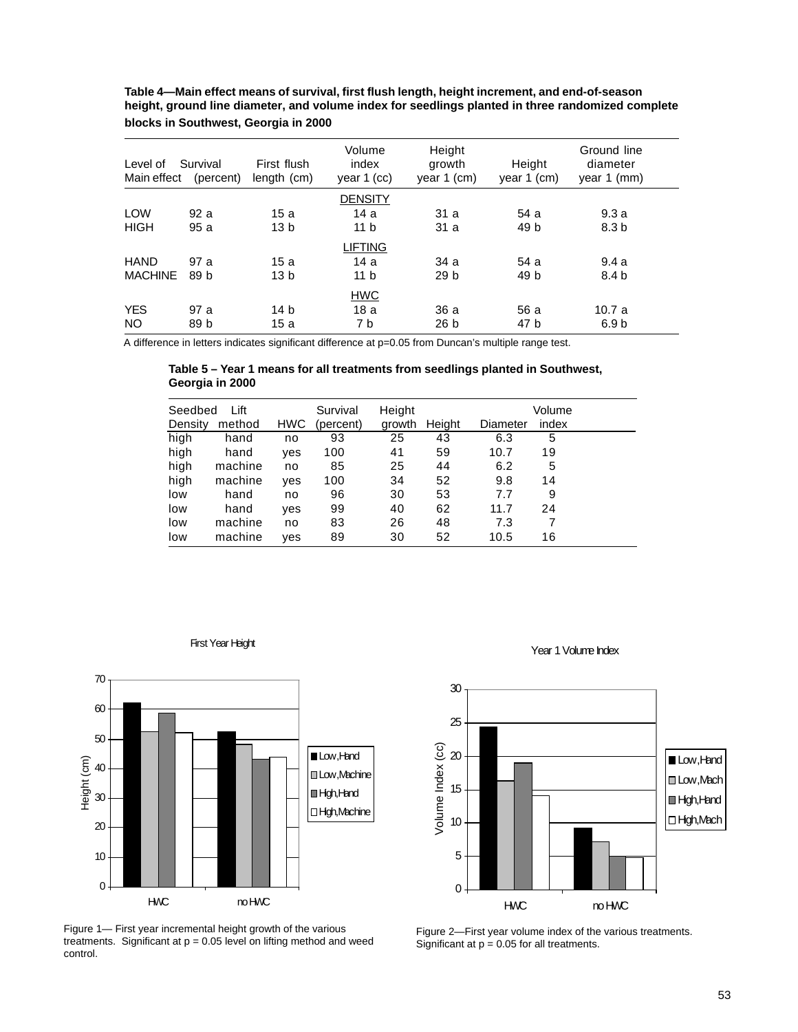| Level of<br>Main effect | Survival<br>(percent) | First flush<br>length (cm) | Volume<br>index<br>year $1$ (cc) | Height<br>growth<br>year $1$ (cm) | Height<br>year $1$ (cm) | Ground line<br>diameter<br>year 1 (mm) |  |
|-------------------------|-----------------------|----------------------------|----------------------------------|-----------------------------------|-------------------------|----------------------------------------|--|
|                         |                       |                            | <b>DENSITY</b>                   |                                   |                         |                                        |  |
| <b>LOW</b>              | 92 a                  | 15a                        | 14 a                             | 31a                               | 54 a                    | 9.3a                                   |  |
| <b>HIGH</b>             | 95a                   | 13 <sub>b</sub>            | 11 <sub>b</sub>                  | 31a                               | 49 b                    | 8.3 <sub>b</sub>                       |  |
|                         |                       |                            | <b>LIFTING</b>                   |                                   |                         |                                        |  |
| <b>HAND</b>             | 97 a                  | 15 a                       | 14a                              | 34 a                              | 54 a                    | 9.4a                                   |  |
| <b>MACHINE</b>          | 89 b                  | 13 <sub>b</sub>            | 11 <sub>b</sub>                  | 29 <sub>b</sub>                   | 49 b                    | 8.4 b                                  |  |
|                         |                       |                            | <b>HWC</b>                       |                                   |                         |                                        |  |
| <b>YES</b>              | 97 a                  | 14 b                       | 18a                              | 36 a                              | 56 a                    | 10.7a                                  |  |
| NO.                     | 89 b                  | 15 a                       | 7 b                              | 26 b                              | 47 b                    | 6.9 b                                  |  |

**Table 4—Main effect means of survival, first flush length, height increment, and end-of-season height, ground line diameter, and volume index for seedlings planted in three randomized complete blocks in Southwest, Georgia in 2000**

A difference in letters indicates significant difference at p=0.05 from Duncan's multiple range test.

**Table 5 – Year 1 means for all treatments from seedlings planted in Southwest, Georgia in 2000**

| Seedbed<br>Density | Lift<br>method | <b>HWC</b> | Survival<br>(percent) | Height<br>growth | Height | Diameter | Volume<br>index |  |
|--------------------|----------------|------------|-----------------------|------------------|--------|----------|-----------------|--|
| high               | hand           | no         | 93                    | 25               | 43     | 6.3      | 5               |  |
| high               | hand           | ves        | 100                   | 41               | 59     | 10.7     | 19              |  |
| high               | machine        | no         | 85                    | 25               | 44     | 6.2      | 5               |  |
| high               | machine        | ves        | 100                   | 34               | 52     | 9.8      | 14              |  |
| low                | hand           | no         | 96                    | 30               | 53     | 7.7      | 9               |  |
| low                | hand           | ves        | 99                    | 40               | 62     | 11.7     | 24              |  |
| low                | machine        | no         | 83                    | 26               | 48     | 7.3      |                 |  |
| low                | machine        | ves        | 89                    | 30               | 52     | 10.5     | 16              |  |





Figure 1— First year incremental height growth of the various treatments. Significant at  $p = 0.05$  level on lifting method and weed control.





Figure 2—First year volume index of the various treatments. Significant at  $p = 0.05$  for all treatments.